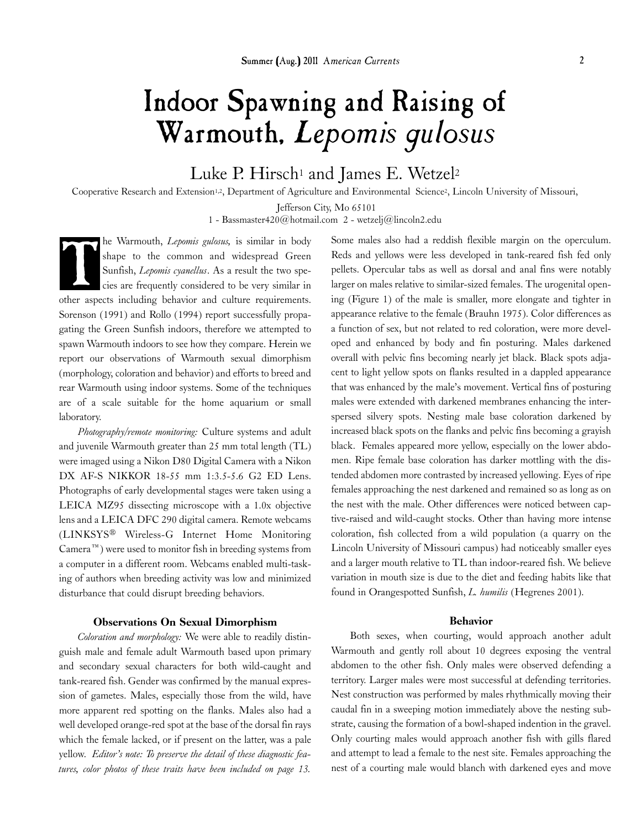# Indoor Spawning and Raising of Warmouth, *Lepomis gulosus*

# Luke P. Hirsch<sup>1</sup> and James E. Wetzel<sup>2</sup>

Cooperative Research and Extension<sup>1,2</sup>, Department of Agriculture and Environmental Science<sup>2</sup>, Lincoln University of Missouri,

Jefferson City, Mo 65101

1 - Bassmaster420@hotmail.com 2 - wetzelj@lincoln2.edu

he Warmouth, *Lepomis gulosus,* is similar in body shape to the common and widespread Green Sunfish, *Lepomis cyanellus*. As a result the two species are frequently considered to be very similar in other aspects including behavior and culture requirements. Sorenson (1991) and Rollo (1994) report successfully propagating the Green Sunfish indoors, therefore we attempted to spawn Warmouth indoors to see how they compare. Herein we report our observations of Warmouth sexual dimorphism (morphology, coloration and behavior) and efforts to breed and rear Warmouth using indoor systems. Some of the techniques are of a scale suitable for the home aquarium or small laboratory.

*Photography/remote monitoring:* Culture systems and adult and juvenile Warmouth greater than 25 mm total length (TL) were imaged using a Nikon D80 Digital Camera with a Nikon DX AF-S NIKKOR 18-55 mm 1:3.5-5.6 G2 ED Lens. Photographs of early developmental stages were taken using a LEICA MZ95 dissecting microscope with a 1.0x objective lens and a LEICA DFC 290 digital camera. Remote webcams (LINKSYS® Wireless-G Internet Home Monitoring  $Camera^M$ ) were used to monitor fish in breeding systems from a computer in a different room. Webcams enabled multi-tasking of authors when breeding activity was low and minimized disturbance that could disrupt breeding behaviors.

### Observations On Sexual Dimorphism

*Coloration and morphology:* We were able to readily distinguish male and female adult Warmouth based upon primary and secondary sexual characters for both wild-caught and tank-reared fish. Gender was confirmed by the manual expression of gametes. Males, especially those from the wild, have more apparent red spotting on the flanks. Males also had a well developed orange-red spot at the base of the dorsal fin rays which the female lacked, or if present on the latter, was a pale yellow. *Editor's note: To preserve the detail of these diagnostic features, color photos of these traits have been included on page 13.* 

The Warmouth, *Lepomis gulosus*, is similar in body<br>Some males also had a reddish flexible margin on the operculum.<br>Sunfish, *Lepomis cyanellus*. As a result the two spe-<br>pellets. Opercular tabs as well as dorsal and anal Reds and yellows were less developed in tank-reared fish fed only pellets. Opercular tabs as well as dorsal and anal fins were notably larger on males relative to similar-sized females. The urogenital opening (Figure 1) of the male is smaller, more elongate and tighter in appearance relative to the female (Brauhn 1975). Color differences as a function of sex, but not related to red coloration, were more developed and enhanced by body and fin posturing. Males darkened overall with pelvic fins becoming nearly jet black. Black spots adjacent to light yellow spots on flanks resulted in a dappled appearance that was enhanced by the male's movement. Vertical fins of posturing males were extended with darkened membranes enhancing the interspersed silvery spots. Nesting male base coloration darkened by increased black spots on the flanks and pelvic fins becoming a grayish black. Females appeared more yellow, especially on the lower abdomen. Ripe female base coloration has darker mottling with the distended abdomen more contrasted by increased yellowing. Eyes of ripe females approaching the nest darkened and remained so as long as on the nest with the male. Other differences were noticed between captive-raised and wild-caught stocks. Other than having more intense coloration, fish collected from a wild population (a quarry on the Lincoln University of Missouri campus) had noticeably smaller eyes and a larger mouth relative to TL than indoor-reared fish. We believe variation in mouth size is due to the diet and feeding habits like that found in Orangespotted Sunfish, *L. humilis* (Hegrenes 2001).

#### Behavior

Both sexes, when courting, would approach another adult Warmouth and gently roll about 10 degrees exposing the ventral abdomen to the other fish. Only males were observed defending a territory. Larger males were most successful at defending territories. Nest construction was performed by males rhythmically moving their caudal fin in a sweeping motion immediately above the nesting substrate, causing the formation of a bowl-shaped indention in the gravel. Only courting males would approach another fish with gills flared and attempt to lead a female to the nest site. Females approaching the nest of a courting male would blanch with darkened eyes and move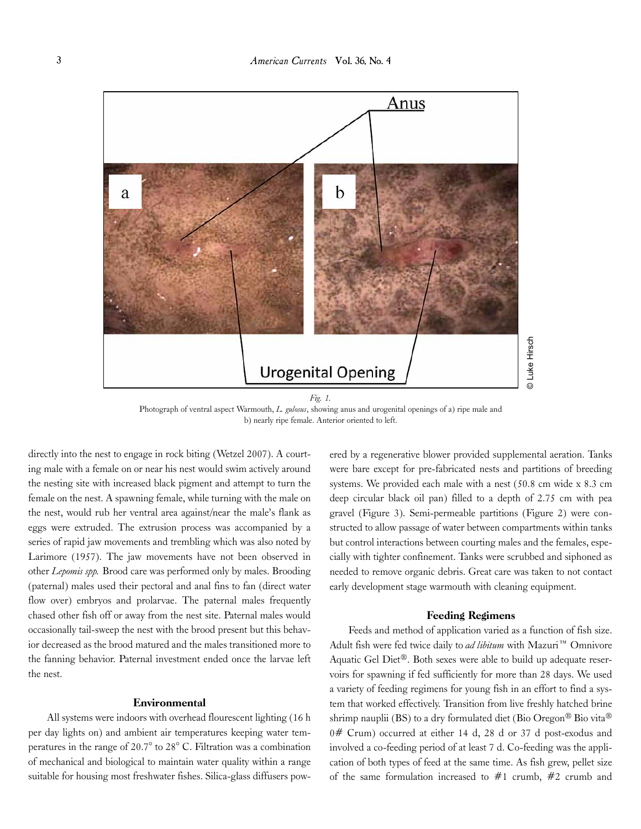

Photograph of ventral aspect Warmouth, *L. gulosus*, showing anus and urogenital openings of a) ripe male and b) nearly ripe female. Anterior oriented to left.

directly into the nest to engage in rock biting (Wetzel 2007). A courting male with a female on or near his nest would swim actively around the nesting site with increased black pigment and attempt to turn the female on the nest. A spawning female, while turning with the male on the nest, would rub her ventral area against/near the male's flank as eggs were extruded. The extrusion process was accompanied by a series of rapid jaw movements and trembling which was also noted by Larimore (1957). The jaw movements have not been observed in other *Lepomis spp.* Brood care was performed only by males. Brooding (paternal) males used their pectoral and anal fins to fan (direct water flow over) embryos and prolarvae. The paternal males frequently chased other fish off or away from the nest site. Paternal males would occasionally tail-sweep the nest with the brood present but this behavior decreased as the brood matured and the males transitioned more to the fanning behavior. Paternal investment ended once the larvae left the nest.

#### Environmental

All systems were indoors with overhead flourescent lighting (16 h per day lights on) and ambient air temperatures keeping water temperatures in the range of 20.7° to 28° C. Filtration was a combination of mechanical and biological to maintain water quality within a range suitable for housing most freshwater fishes. Silica-glass diffusers powered by a regenerative blower provided supplemental aeration. Tanks were bare except for pre-fabricated nests and partitions of breeding systems. We provided each male with a nest (50.8 cm wide x 8.3 cm deep circular black oil pan) filled to a depth of 2.75 cm with pea gravel (Figure 3). Semi-permeable partitions (Figure 2) were constructed to allow passage of water between compartments within tanks but control interactions between courting males and the females, especially with tighter confinement. Tanks were scrubbed and siphoned as needed to remove organic debris. Great care was taken to not contact early development stage warmouth with cleaning equipment.

#### Feeding Regimens

Feeds and method of application varied as a function of fish size. Adult fish were fed twice daily to *ad libitum* with Mazuri<sup>™</sup> Omnivore Aquatic Gel Diet®. Both sexes were able to build up adequate reservoirs for spawning if fed sufficiently for more than 28 days. We used a variety of feeding regimens for young fish in an effort to find a system that worked effectively. Transition from live freshly hatched brine shrimp nauplii (BS) to a dry formulated diet (Bio Oregon<sup>®</sup> Bio vita<sup>®</sup> 0# Crum) occurred at either 14 d, 28 d or 37 d post-exodus and involved a co-feeding period of at least 7 d. Co-feeding was the application of both types of feed at the same time. As fish grew, pellet size of the same formulation increased to  $#1$  crumb,  $#2$  crumb and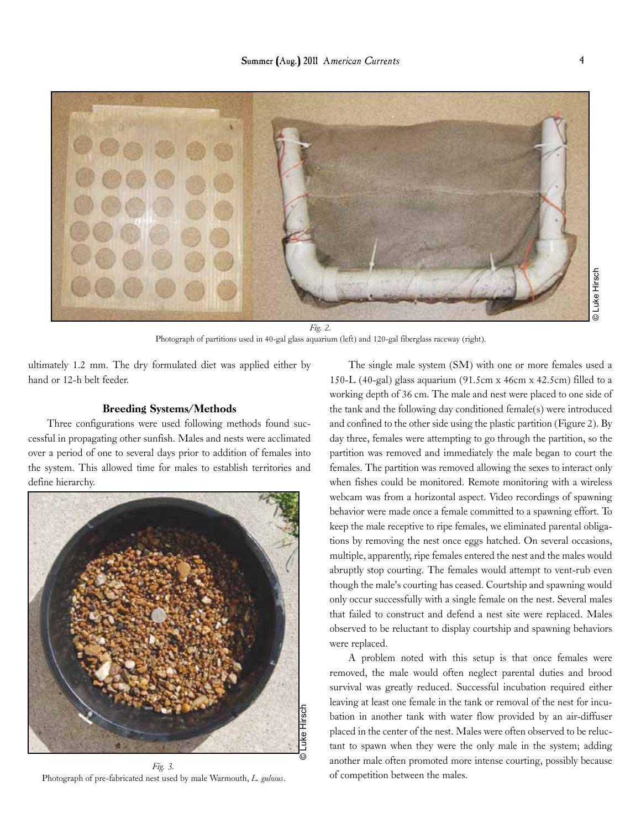

*Fig. 2.*  Photograph of partitions used in 40-gal glass aquarium (left) and 120-gal fiberglass raceway (right).

ultimately 1.2 mm. The dry formulated diet was applied either by hand or 12-h belt feeder.

# Breeding Systems/Methods

Three configurations were used following methods found successful in propagating other sunfish. Males and nests were acclimated over a period of one to several days prior to addition of females into the system. This allowed time for males to establish territories and define hierarchy.



*Fig. 3.*  Photograph of pre-fabricated nest used by male Warmouth, *L. gulosus*.

The single male system (SM) with one or more females used a 150-L (40-gal) glass aquarium (91.5cm x 46cm x 42.5cm) filled to a working depth of 36 cm. The male and nest were placed to one side of the tank and the following day conditioned female(s) were introduced and confined to the other side using the plastic partition (Figure 2). By day three, females were attempting to go through the partition, so the partition was removed and immediately the male began to court the females. The partition was removed allowing the sexes to interact only when fishes could be monitored. Remote monitoring with a wireless webcam was from a horizontal aspect. Video recordings of spawning behavior were made once a female committed to a spawning effort. To keep the male receptive to ripe females, we eliminated parental obligations by removing the nest once eggs hatched. On several occasions, multiple, apparently, ripe females entered the nest and the males would abruptly stop courting. The females would attempt to vent-rub even though the male's courting has ceased. Courtship and spawning would only occur successfully with a single female on the nest. Several males that failed to construct and defend a nest site were replaced. Males observed to be reluctant to display courtship and spawning behaviors were replaced.

A problem noted with this setup is that once females were removed, the male would often neglect parental duties and brood survival was greatly reduced. Successful incubation required either leaving at least one female in the tank or removal of the nest for incubation in another tank with water flow provided by an air-diffuser placed in the center of the nest. Males were often observed to be reluctant to spawn when they were the only male in the system; adding another male often promoted more intense courting, possibly because of competition between the males.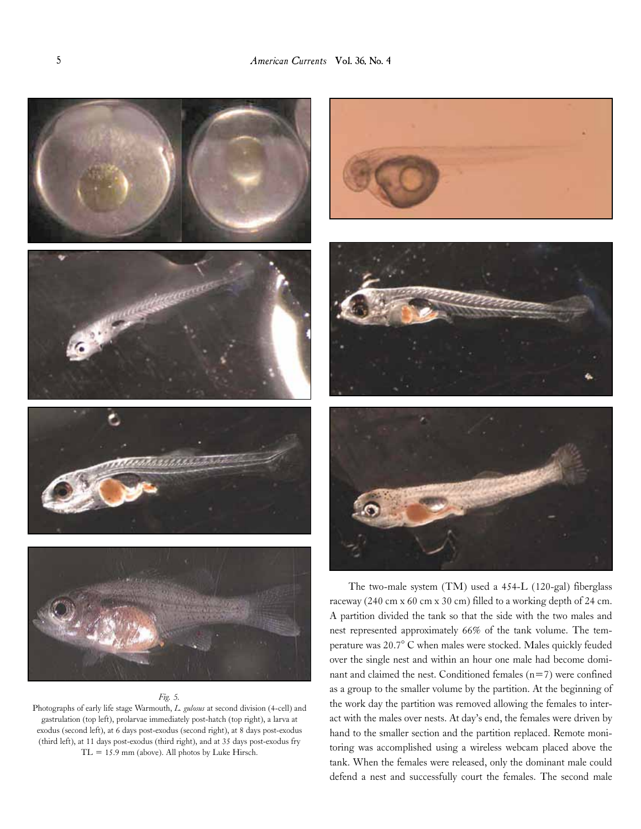

#### *Fig. 5.*

Photographs of early life stage Warmouth, *L. gulosus* at second division (4-cell) and gastrulation (top left), prolarvae immediately post-hatch (top right), a larva at exodus (second left), at 6 days post-exodus (second right), at 8 days post-exodus (third left), at 11 days post-exodus (third right), and at 35 days post-exodus fry  $TL = 15.9$  mm (above). All photos by Luke Hirsch.



The two-male system (TM) used a 454-L (120-gal) fiberglass raceway (240 cm x 60 cm x 30 cm) filled to a working depth of 24 cm. A partition divided the tank so that the side with the two males and nest represented approximately 66% of the tank volume. The temperature was 20.7° C when males were stocked. Males quickly feuded over the single nest and within an hour one male had become dominant and claimed the nest. Conditioned females  $(n=7)$  were confined as a group to the smaller volume by the partition. At the beginning of the work day the partition was removed allowing the females to interact with the males over nests. At day's end, the females were driven by hand to the smaller section and the partition replaced. Remote monitoring was accomplished using a wireless webcam placed above the tank. When the females were released, only the dominant male could defend a nest and successfully court the females. The second male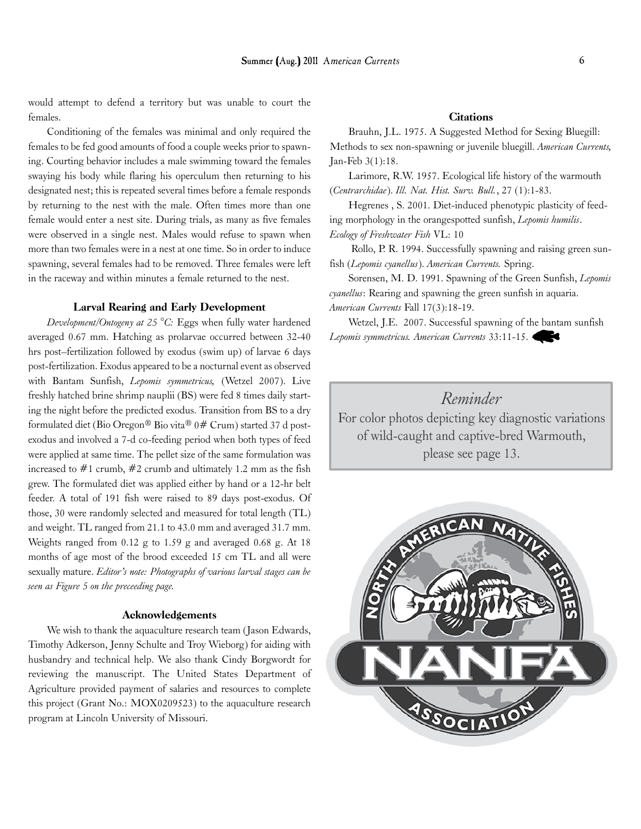would attempt to defend a territory but was unable to court the females.

Conditioning of the females was minimal and only required the females to be fed good amounts of food a couple weeks prior to spawning. Courting behavior includes a male swimming toward the females swaying his body while flaring his operculum then returning to his designated nest; this is repeated several times before a female responds by returning to the nest with the male. Often times more than one female would enter a nest site. During trials, as many as five females were observed in a single nest. Males would refuse to spawn when more than two females were in a nest at one time. So in order to induce spawning, several females had to be removed. Three females were left in the raceway and within minutes a female returned to the nest.

#### Larval Rearing and Early Development

*Development/Ontogeny at 25 °C:* Eggs when fully water hardened averaged 0.67 mm. Hatching as prolarvae occurred between 32-40 hrs post–fertilization followed by exodus (swim up) of larvae 6 days post-fertilization. Exodus appeared to be a nocturnal event as observed with Bantam Sunfish, *Lepomis symmetricus,* (Wetzel 2007). Live freshly hatched brine shrimp nauplii (BS) were fed 8 times daily starting the night before the predicted exodus. Transition from BS to a dry formulated diet (Bio Oregon® Bio vita® 0# Crum) started 37 d postexodus and involved a 7-d co-feeding period when both types of feed were applied at same time. The pellet size of the same formulation was increased to  $#1$  crumb,  $#2$  crumb and ultimately 1.2 mm as the fish grew. The formulated diet was applied either by hand or a 12-hr belt feeder. A total of 191 fish were raised to 89 days post-exodus. Of those, 30 were randomly selected and measured for total length (TL) and weight. TL ranged from 21.1 to 43.0 mm and averaged 31.7 mm. Weights ranged from 0.12 g to 1.59 g and averaged 0.68 g. At 18 months of age most of the brood exceeded 15 cm TL and all were sexually mature. *Editor's note: Photographs of various larval stages can be seen as Figure 5 on the preceeding page.*

# Acknowledgements

We wish to thank the aquaculture research team (Jason Edwards, Timothy Adkerson, Jenny Schulte and Troy Wieborg) for aiding with husbandry and technical help. We also thank Cindy Borgwordt for reviewing the manuscript. The United States Department of Agriculture provided payment of salaries and resources to complete this project (Grant No.: MOX0209523) to the aquaculture research program at Lincoln University of Missouri.

### **Citations**

Brauhn, J.L. 1975. A Suggested Method for Sexing Bluegill: Methods to sex non-spawning or juvenile bluegill. *American Currents,*  Jan-Feb 3(1):18.

Larimore, R.W. 1957. Ecological life history of the warmouth (*Centrarchidae*). *Ill. Nat. Hist. Surv. Bull.*, 27 (1):1-83.

Hegrenes , S. 2001. Diet-induced phenotypic plasticity of feeding morphology in the orangespotted sunfish, *Lepomis humilis*. *Ecology of Freshwater Fish* VL: 10

Rollo, P. R. 1994. Successfully spawning and raising green sunfish (*Lepomis cyanellus*). *American Currents.* Spring.

Sorensen, M. D. 1991. Spawning of the Green Sunfish, *Lepomis cyanellus*: Rearing and spawning the green sunfish in aquaria. *American Currents* Fall 17(3):18-19.

Wetzel, J.E. 2007. Successful spawning of the bantam sunfish *Lepomis symmetricus. American Currents* 33:11-15.

*Reminder*

For color photos depicting key diagnostic variations of wild-caught and captive-bred Warmouth, please see page 13.